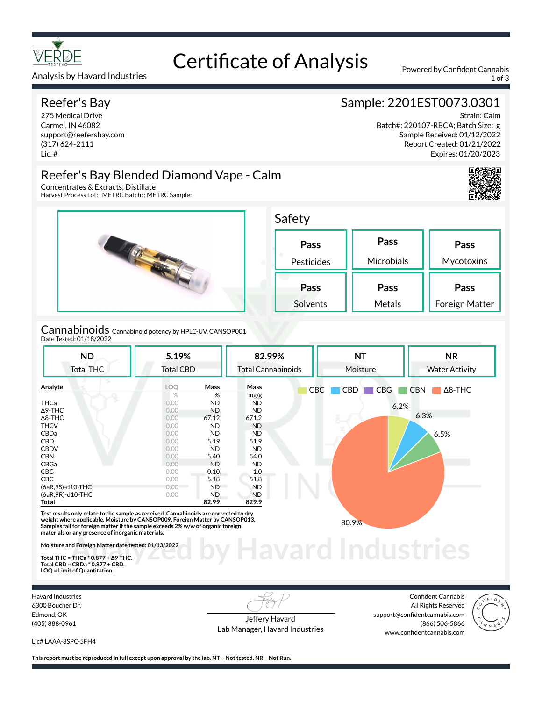

# Certificate of Analysis Powered by Confident Cannabis

Analysis by Havard Industries 1 of 3 and 2008 and 2009 and 2009 and 2009 and 2009 and 2009 and 2009 and 2009 and 2009 and 2009 and 2009 and 2009 and 2009 and 2009 and 2009 and 2009 and 2009 and 2009 and 2009 and 2009 and 2

## Reefer's Bay

275 Medical Drive Carmel, IN 46082 support@reefersbay.com (317) 624-2111 Lic. #

Concentrates & Extracts, Distillate

Harvest Process Lot: ; METRC Batch: ; METRC Sample:

# Sample: 2201EST0073.0301

Strain: Calm Batch#: 220107-RBCA; Batch Size: g Sample Received: 01/12/2022 Report Created: 01/21/2022 Expires: 01/20/2023



**Pass Mycotoxins** 

**Pass** Foreign Matter



Cannabinoids Cannabinoid potency by HPLC-UV, CANSOP001 Date Tested: 01/18/2022

Reefer's Bay Blended Diamond Vape - Calm

| <b>ND</b><br><b>Total THC</b> | 5.19%<br><b>Total CBD</b> |           | 82.99%<br><b>Total Cannabinoids</b> |            | <b>NT</b><br>Moisture | <b>NR</b><br><b>Water Activity</b> |  |
|-------------------------------|---------------------------|-----------|-------------------------------------|------------|-----------------------|------------------------------------|--|
|                               |                           |           |                                     |            |                       |                                    |  |
| Analyte                       | <b>LOO</b>                | Mass      | Mass                                | <b>CBC</b> | CBD<br><b>CBG</b>     | CBN<br>$\Delta$ 8-THC              |  |
|                               | $\%$                      | %         | mg/g                                |            |                       |                                    |  |
| <b>THCa</b>                   | 0.00                      | ND.       | ND.                                 |            | 6.2%                  |                                    |  |
| $\Delta$ 9-THC                | 0.00                      | <b>ND</b> | <b>ND</b>                           |            |                       |                                    |  |
| $\Delta$ 8-THC                | 0.00                      | 67.12     | 671.2                               |            |                       | 6.3%                               |  |
| <b>THCV</b>                   | 0.00                      | ND.       | <b>ND</b>                           |            |                       |                                    |  |
| CBDa                          | 0.00                      | <b>ND</b> | <b>ND</b>                           |            |                       | 6.5%                               |  |
| CBD                           | 0.00                      | 5.19      | 51.9                                |            |                       |                                    |  |
| <b>CBDV</b>                   | 0.00                      | <b>ND</b> | ND                                  |            |                       |                                    |  |
| <b>CBN</b>                    | 0.00                      | 5.40      | 54.0                                |            |                       |                                    |  |
| CBGa                          | 0.00                      | <b>ND</b> | <b>ND</b>                           |            |                       |                                    |  |
| <b>CBG</b>                    | 0.00                      | 0.10      | 1.0                                 |            |                       |                                    |  |
| <b>CBC</b>                    | 0.00                      | 5.18      | 51.8                                |            |                       |                                    |  |
| (6aR, 9S)-d10-THC             | 0.00                      | ND.       | <b>ND</b>                           |            |                       |                                    |  |
| (6aR, 9R)-d10-THC             | 0.00                      | ND.       | <b>ND</b>                           |            |                       |                                    |  |
| Total                         |                           | 82.99     | 829.9                               |            |                       |                                    |  |

**materials or any presence of inorganic materials.** 

**Moisture and Foreign Matter date tested: 01/13/2022** 

**Total THC = THCa \* 0.877 + ∆9-THC. Total CBD = CBDa \* 0.877 + CBD. LOQ = Limit of Quantitation.**

Havard Industries 6300 Boucher Dr. Edmond, OK (405) 888-0961

Jeffery Havard Lab Manager, Havard Industries

Confident Cannabis All Rights Reserved support@confidentcannabis.com (866) 506-5866 www.confidentcannabis.com

**Havard Industries** 



Lic# LAAA-8SPC-5FH4

**This report must be reproduced in full except upon approval by the lab. NT – Not tested, NR – Not Run.**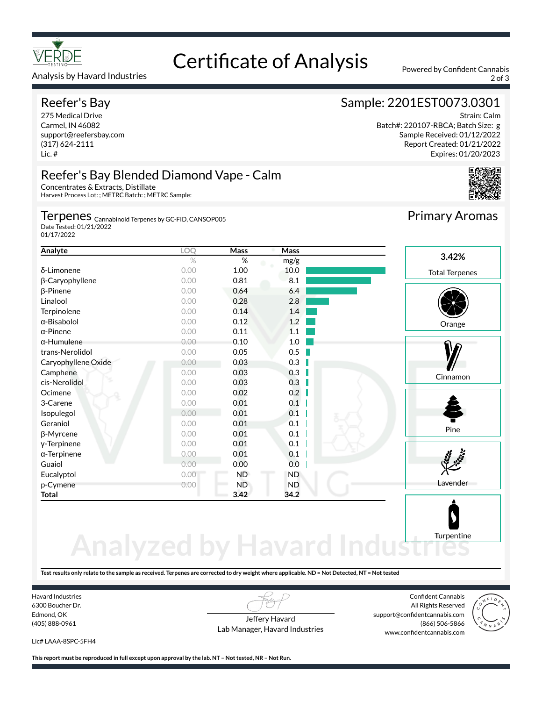

#### Analysis by Havard Industries 2 of 3

# Reefer's Bay

275 Medical Drive Carmel, IN 46082 support@reefersbay.com (317) 624-2111 Lic. #

# Certificate of Analysis Powered by Confident Cannabis

# Sample: 2201EST0073.0301

Strain: Calm Batch#: 220107-RBCA; Batch Size: g Sample Received: 01/12/2022 Report Created: 01/21/2022 Expires: 01/20/2023



# Reefer's Bay Blended Diamond Vape - Calm

Concentrates & Extracts, Distillate Harvest Process Lot: ; METRC Batch: ; METRC Sample:

Terpenes <sub>Cannabinoid Terpenes by GC-FID, CANSOP005</sub>

Date Tested: 01/21/2022 01/17/2022

| Analyte             | LOQ  | Mass | Mass      |                       |
|---------------------|------|------|-----------|-----------------------|
|                     | $\%$ | %    | mg/g      | 3.42%                 |
| δ-Limonene          | 0.00 | 1.00 | 10.0      | <b>Total Terpenes</b> |
| β-Caryophyllene     | 0.00 | 0.81 | 8.1       |                       |
| $\beta$ -Pinene     | 0.00 | 0.64 | 6.4       |                       |
| Linalool            | 0.00 | 0.28 | 2.8       |                       |
| Terpinolene         | 0.00 | 0.14 | 1.4       |                       |
| α-Bisabolol         | 0.00 | 0.12 | 1.2       | Orange                |
| $\alpha$ -Pinene    | 0.00 | 0.11 | 1.1       |                       |
| $\alpha$ -Humulene  | 0.00 | 0.10 | 1.0       |                       |
| trans-Nerolidol     | 0.00 | 0.05 | 0.5       |                       |
| Caryophyllene Oxide | 0.00 | 0.03 | 0.3       |                       |
| Camphene            | 0.00 | 0.03 | 0.3       | Cinnamon              |
| cis-Nerolidol       | 0.00 | 0.03 | 0.3       |                       |
| Ocimene             | 0.00 | 0.02 | 0.2       |                       |
| 3-Carene            | 0.00 | 0.01 | 0.1       |                       |
| Isopulegol          | 0.00 | 0.01 | 0.1       |                       |
| Geraniol            | 0.00 | 0.01 | 0.1       |                       |
| β-Myrcene           | 0.00 | 0.01 | 0.1       | Pine                  |
| y-Terpinene         | 0.00 | 0.01 | 0.1       |                       |
| $\alpha$ -Terpinene | 0.00 | 0.01 | 0.1       |                       |
| Guaiol              | 0.00 | 0.00 | 0.0       |                       |
| Eucalyptol          | 0.00 | ND   | <b>ND</b> |                       |
| p-Cymene            | 0.00 | ND   | <b>ND</b> | Lavender              |
| Total               |      | 3.42 | 34.2      |                       |
|                     |      |      |           |                       |

# **Analyzed by Havard Ind Turpentine**

**Test results only relate to the sample as received. Terpenes are corrected to dry weight where applicable. ND = Not Detected, NT = Not tested**

Havard Industries 6300 Boucher Dr. Edmond, OK (405) 888-0961

Jeffery Havard Lab Manager, Havard Industries

Confident Cannabis All Rights Reserved support@confidentcannabis.com (866) 506-5866 www.confidentcannabis.com



Lic# LAAA-8SPC-5FH4

**This report must be reproduced in full except upon approval by the lab. NT – Not tested, NR – Not Run.**

Primary Aromas